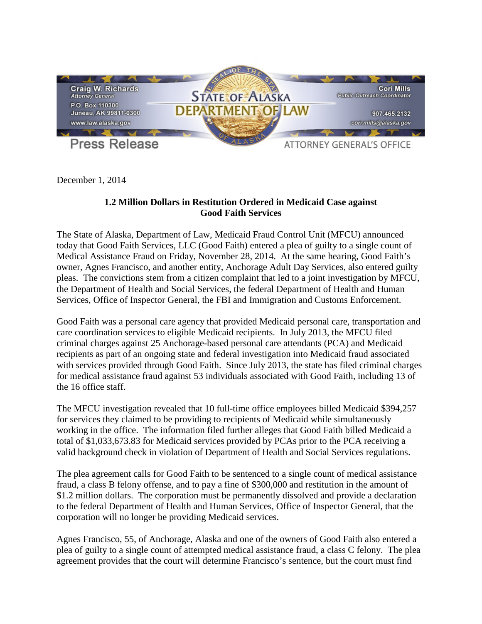

December 1, 2014

## **1.2 Million Dollars in Restitution Ordered in Medicaid Case against Good Faith Services**

The State of Alaska, Department of Law, Medicaid Fraud Control Unit (MFCU) announced today that Good Faith Services, LLC (Good Faith) entered a plea of guilty to a single count of Medical Assistance Fraud on Friday, November 28, 2014. At the same hearing, Good Faith's owner, Agnes Francisco, and another entity, Anchorage Adult Day Services, also entered guilty pleas. The convictions stem from a citizen complaint that led to a joint investigation by MFCU, the Department of Health and Social Services, the federal Department of Health and Human Services, Office of Inspector General, the FBI and Immigration and Customs Enforcement.

Good Faith was a personal care agency that provided Medicaid personal care, transportation and care coordination services to eligible Medicaid recipients. In July 2013, the MFCU filed criminal charges against 25 Anchorage-based personal care attendants (PCA) and Medicaid recipients as part of an ongoing state and federal investigation into Medicaid fraud associated with services provided through Good Faith. Since July 2013, the state has filed criminal charges for medical assistance fraud against 53 individuals associated with Good Faith, including 13 of the 16 office staff.

The MFCU investigation revealed that 10 full-time office employees billed Medicaid \$394,257 for services they claimed to be providing to recipients of Medicaid while simultaneously working in the office. The information filed further alleges that Good Faith billed Medicaid a total of \$1,033,673.83 for Medicaid services provided by PCAs prior to the PCA receiving a valid background check in violation of Department of Health and Social Services regulations.

The plea agreement calls for Good Faith to be sentenced to a single count of medical assistance fraud, a class B felony offense, and to pay a fine of \$300,000 and restitution in the amount of \$1.2 million dollars. The corporation must be permanently dissolved and provide a declaration to the federal Department of Health and Human Services, Office of Inspector General, that the corporation will no longer be providing Medicaid services.

Agnes Francisco, 55, of Anchorage, Alaska and one of the owners of Good Faith also entered a plea of guilty to a single count of attempted medical assistance fraud, a class C felony. The plea agreement provides that the court will determine Francisco's sentence, but the court must find